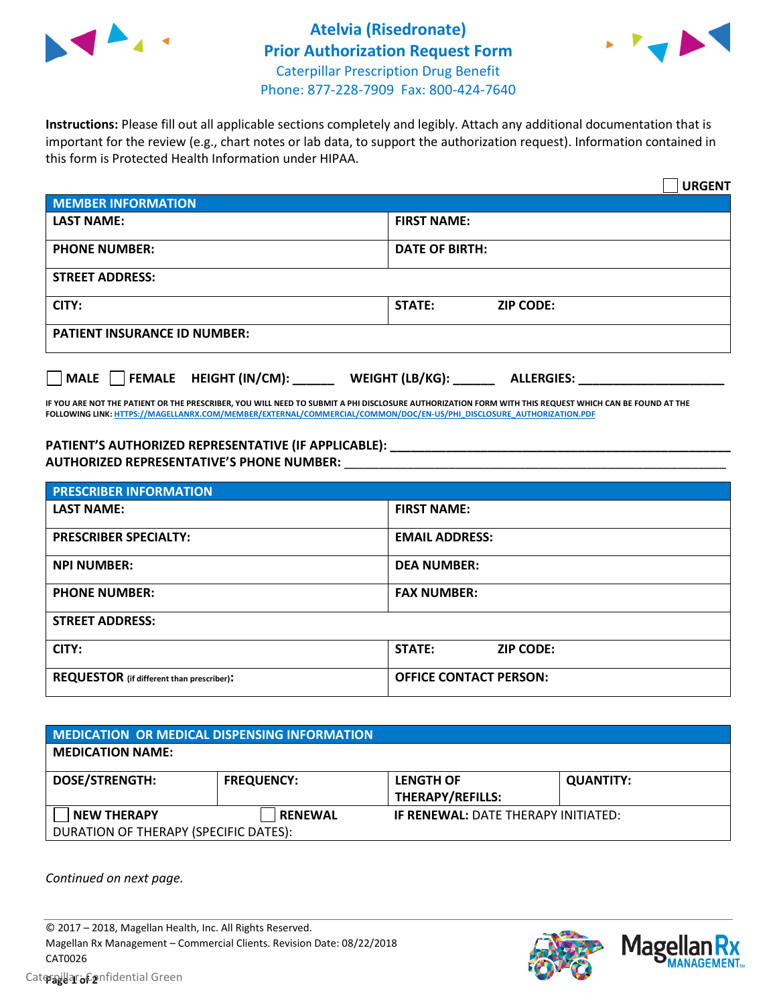



**Instructions:** Please fill out all applicable sections completely and legibly. Attach any additional documentation that is important for the review (e.g., chart notes or lab data, to support the authorization request). Information contained in this form is Protected Health Information under HIPAA.

|                                       | <b>URGENT</b>                          |  |
|---------------------------------------|----------------------------------------|--|
| <b>MEMBER INFORMATION</b>             |                                        |  |
| <b>LAST NAME:</b>                     | <b>FIRST NAME:</b>                     |  |
| <b>PHONE NUMBER:</b>                  | <b>DATE OF BIRTH:</b>                  |  |
| <b>STREET ADDRESS:</b>                |                                        |  |
| CITY:                                 | <b>ZIP CODE:</b><br>STATE:             |  |
| <b>PATIENT INSURANCE ID NUMBER:</b>   |                                        |  |
| FEMALE HEIGHT (IN/CM):<br><b>MALE</b> | WEIGHT (LB/KG): _<br><b>ALLERGIES:</b> |  |

**IF YOU ARE NOT THE PATIENT OR THE PRESCRIBER, YOU WILL NEED TO SUBMIT A PHI DISCLOSURE AUTHORIZATION FORM WITH THIS REQUEST WHICH CAN BE FOUND AT THE FOLLOWING LINK[: HTTPS://MAGELLANRX.COM/MEMBER/EXTERNAL/COMMERCIAL/COMMON/DOC/EN-US/PHI\\_DISCLOSURE\\_AUTHORIZATION.PDF](https://magellanrx.com/member/external/commercial/common/doc/en-us/PHI_Disclosure_Authorization.pdf)**

**PATIENT'S AUTHORIZED REPRESENTATIVE (IF APPLICABLE): \_\_\_\_\_\_\_\_\_\_\_\_\_\_\_\_\_\_\_\_\_\_\_\_\_\_\_\_\_\_\_\_\_\_\_\_\_\_\_\_\_\_\_\_\_\_\_\_\_ AUTHORIZED REPRESENTATIVE'S PHONE NUMBER:** \_\_\_\_\_\_\_\_\_\_\_\_\_\_\_\_\_\_\_\_\_\_\_\_\_\_\_\_\_\_\_\_\_\_\_\_\_\_\_\_\_\_\_\_\_\_\_\_\_\_\_\_\_\_\_

| <b>PRESCRIBER INFORMATION</b>             |                               |  |
|-------------------------------------------|-------------------------------|--|
| <b>LAST NAME:</b>                         | <b>FIRST NAME:</b>            |  |
| <b>PRESCRIBER SPECIALTY:</b>              | <b>EMAIL ADDRESS:</b>         |  |
| <b>NPI NUMBER:</b>                        | <b>DEA NUMBER:</b>            |  |
| <b>PHONE NUMBER:</b>                      | <b>FAX NUMBER:</b>            |  |
| <b>STREET ADDRESS:</b>                    |                               |  |
| CITY:                                     | STATE:<br><b>ZIP CODE:</b>    |  |
| REQUESTOR (if different than prescriber): | <b>OFFICE CONTACT PERSON:</b> |  |

| <b>MEDICATION OR MEDICAL DISPENSING INFORMATION</b> |                   |                                            |                  |  |  |
|-----------------------------------------------------|-------------------|--------------------------------------------|------------------|--|--|
| <b>MEDICATION NAME:</b>                             |                   |                                            |                  |  |  |
| <b>DOSE/STRENGTH:</b>                               | <b>FREQUENCY:</b> | <b>LENGTH OF</b>                           | <b>QUANTITY:</b> |  |  |
|                                                     |                   | <b>THERAPY/REFILLS:</b>                    |                  |  |  |
| <b>NEW THERAPY</b>                                  | <b>RENEWAL</b>    | <b>IF RENEWAL: DATE THERAPY INITIATED:</b> |                  |  |  |
| DURATION OF THERAPY (SPECIFIC DATES):               |                   |                                            |                  |  |  |

*Continued on next page.*

© 2017 – 2018, Magellan Health, Inc. All Rights Reserved. Magellan Rx Management – Commercial Clients. Revision Date: 08/22/2018 CAT0026